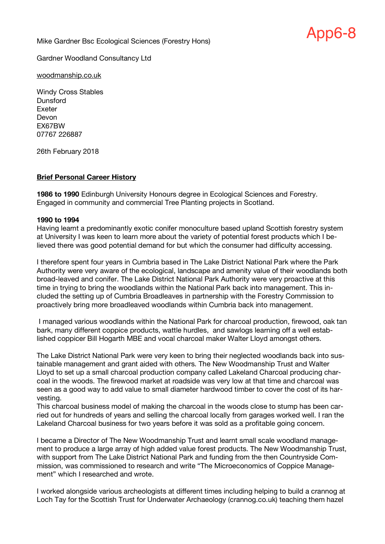Mike Gardner Bsc Ecological Sciences (Forestry Hons)



Gardner Woodland Consultancy Ltd

woodmanship.co.uk

Windy Cross Stables **Dunsford** Exeter Devon EX67BW 07767 226887

26th February 2018

#### **Brief Personal Career History**

**1986 to 1990** Edinburgh University Honours degree in Ecological Sciences and Forestry. Engaged in community and commercial Tree Planting projects in Scotland.

#### **1990 to 1994**

Having learnt a predominantly exotic conifer monoculture based upland Scottish forestry system at University I was keen to learn more about the variety of potential forest products which I believed there was good potential demand for but which the consumer had difficulty accessing.

I therefore spent four years in Cumbria based in The Lake District National Park where the Park Authority were very aware of the ecological, landscape and amenity value of their woodlands both broad-leaved and conifer. The Lake District National Park Authority were very proactive at this time in trying to bring the woodlands within the National Park back into management. This included the setting up of Cumbria Broadleaves in partnership with the Forestry Commission to proactively bring more broadleaved woodlands within Cumbria back into management.

I managed various woodlands within the National Park for charcoal production, firewood, oak tan bark, many different coppice products, wattle hurdles, and sawlogs learning off a well established coppicer Bill Hogarth MBE and vocal charcoal maker Walter Lloyd amongst others.

The Lake District National Park were very keen to bring their neglected woodlands back into sustainable management and grant aided with others. The New Woodmanship Trust and Walter Lloyd to set up a small charcoal production company called Lakeland Charcoal producing charcoal in the woods. The firewood market at roadside was very low at that time and charcoal was seen as a good way to add value to small diameter hardwood timber to cover the cost of its harvesting.

This charcoal business model of making the charcoal in the woods close to stump has been carried out for hundreds of years and selling the charcoal locally from garages worked well. I ran the Lakeland Charcoal business for two years before it was sold as a profitable going concern.

I became a Director of The New Woodmanship Trust and learnt small scale woodland management to produce a large array of high added value forest products. The New Woodmanship Trust, with support from The Lake District National Park and funding from the then Countryside Commission, was commissioned to research and write "The Microeconomics of Coppice Management" which I researched and wrote.

I worked alongside various archeologists at different times including helping to build a crannog at Loch Tay for the Scottish Trust for Underwater Archaeology (crannog.co.uk) teaching them hazel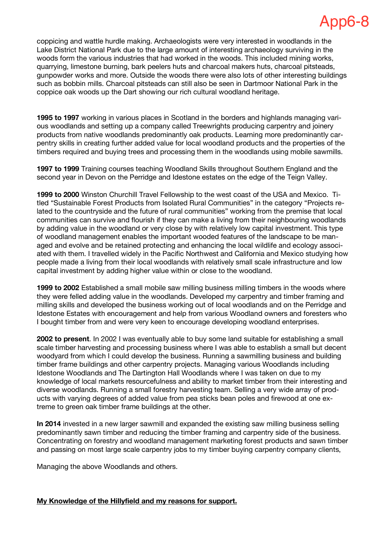coppicing and wattle hurdle making. Archaeologists were very interested in woodlands in the Lake District National Park due to the large amount of interesting archaeology surviving in the woods form the various industries that had worked in the woods. This included mining works, quarrying, limestone burning, bark peelers huts and charcoal makers huts, charcoal pitsteads, gunpowder works and more. Outside the woods there were also lots of other interesting buildings such as bobbin mills. Charcoal pitsteads can still also be seen in Dartmoor National Park in the coppice oak woods up the Dart showing our rich cultural woodland heritage.

**1995 to 1997** working in various places in Scotland in the borders and highlands managing various woodlands and setting up a company called Treewrights producing carpentry and joinery products from native woodlands predominantly oak products. Learning more predominantly carpentry skills in creating further added value for local woodland products and the properties of the timbers required and buying trees and processing them in the woodlands using mobile sawmills.

**1997 to 1999** Training courses teaching Woodland Skills throughout Southern England and the second year in Devon on the Perridge and Idestone estates on the edge of the Teign Valley.

**1999 to 2000** Winston Churchill Travel Fellowship to the west coast of the USA and Mexico. Titled "Sustainable Forest Products from Isolated Rural Communities" in the category "Projects related to the countryside and the future of rural communities" working from the premise that local communities can survive and flourish if they can make a living from their neighbouring woodlands by adding value in the woodland or very close by with relatively low capital investment. This type of woodland management enables the important wooded features of the landscape to be managed and evolve and be retained protecting and enhancing the local wildlife and ecology associated with them. I travelled widely in the Pacific Northwest and California and Mexico studying how people made a living from their local woodlands with relatively small scale infrastructure and low capital investment by adding higher value within or close to the woodland.

**1999 to 2002** Established a small mobile saw milling business milling timbers in the woods where they were felled adding value in the woodlands. Developed my carpentry and timber framing and milling skills and developed the business working out of local woodlands and on the Perridge and Idestone Estates with encouragement and help from various Woodland owners and foresters who I bought timber from and were very keen to encourage developing woodland enterprises.

**2002 to present**. In 2002 I was eventually able to buy some land suitable for establishing a small scale timber harvesting and processing business where I was able to establish a small but decent woodyard from which I could develop the business. Running a sawmilling business and building timber frame buildings and other carpentry projects. Managing various Woodlands including Idestone Woodlands and The Dartington Hall Woodlands where I was taken on due to my knowledge of local markets resourcefulness and ability to market timber from their interesting and diverse woodlands. Running a small forestry harvesting team. Selling a very wide array of products with varying degrees of added value from pea sticks bean poles and firewood at one extreme to green oak timber frame buildings at the other.

**In 2014** invested in a new larger sawmill and expanded the existing saw milling business selling predominantly sawn timber and reducing the timber framing and carpentry side of the business. Concentrating on forestry and woodland management marketing forest products and sawn timber and passing on most large scale carpentry jobs to my timber buying carpentry company clients,

Managing the above Woodlands and others.

#### **My Knowledge of the Hillyfield and my reasons for support.**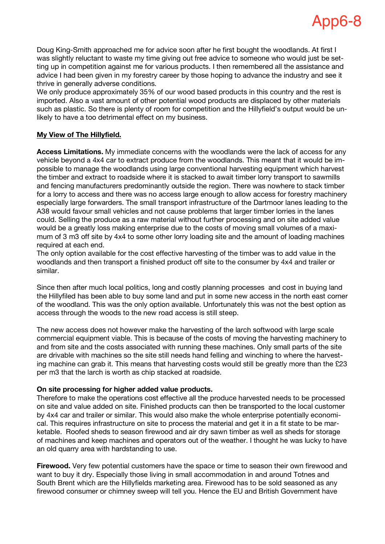Doug King-Smith approached me for advice soon after he first bought the woodlands. At first I was slightly reluctant to waste my time giving out free advice to someone who would just be setting up in competition against me for various products. I then remembered all the assistance and advice I had been given in my forestry career by those hoping to advance the industry and see it thrive in generally adverse conditions.

We only produce approximately 35% of our wood based products in this country and the rest is imported. Also a vast amount of other potential wood products are displaced by other materials such as plastic. So there is plenty of room for competition and the Hillyfield's output would be unlikely to have a too detrimental effect on my business.

### **My View of The Hillyfield.**

**Access Limitations.** My immediate concerns with the woodlands were the lack of access for any vehicle beyond a 4x4 car to extract produce from the woodlands. This meant that it would be impossible to manage the woodlands using large conventional harvesting equipment which harvest the timber and extract to roadside where it is stacked to await timber lorry transport to sawmills and fencing manufacturers predominantly outside the region. There was nowhere to stack timber for a lorry to access and there was no access large enough to allow access for forestry machinery especially large forwarders. The small transport infrastructure of the Dartmoor lanes leading to the A38 would favour small vehicles and not cause problems that larger timber lorries in the lanes could. Selling the produce as a raw material without further processing and on site added value would be a greatly loss making enterprise due to the costs of moving small volumes of a maximum of 3 m3 off site by 4x4 to some other lorry loading site and the amount of loading machines required at each end.

The only option available for the cost effective harvesting of the timber was to add value in the woodlands and then transport a finished product off site to the consumer by 4x4 and trailer or similar.

Since then after much local politics, long and costly planning processes and cost in buying land the Hillyfiled has been able to buy some land and put in some new access in the north east corner of the woodland. This was the only option available. Unfortunately this was not the best option as access through the woods to the new road access is still steep.

The new access does not however make the harvesting of the larch softwood with large scale commercial equipment viable. This is because of the costs of moving the harvesting machinery to and from site and the costs associated with running these machines. Only small parts of the site are drivable with machines so the site still needs hand felling and winching to where the harvesting machine can grab it. This means that harvesting costs would still be greatly more than the £23 per m3 that the larch is worth as chip stacked at roadside.

#### **On site processing for higher added value products.**

Therefore to make the operations cost effective all the produce harvested needs to be processed on site and value added on site. Finished products can then be transported to the local customer by 4x4 car and trailer or similar. This would also make the whole enterprise potentially economical. This requires infrastructure on site to process the material and get it in a fit state to be marketable. Roofed sheds to season firewood and air dry sawn timber as well as sheds for storage of machines and keep machines and operators out of the weather. I thought he was lucky to have an old quarry area with hardstanding to use.

**Firewood.** Very few potential customers have the space or time to season their own firewood and want to buy it dry. Especially those living in small accommodation in and around Totnes and South Brent which are the Hillyfields marketing area. Firewood has to be sold seasoned as any firewood consumer or chimney sweep will tell you. Hence the EU and British Government have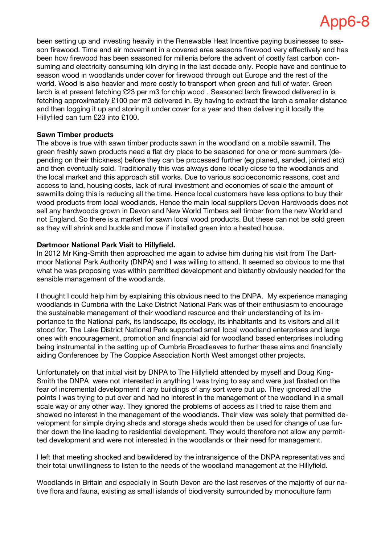been setting up and investing heavily in the Renewable Heat Incentive paying businesses to season firewood. Time and air movement in a covered area seasons firewood very effectively and has been how firewood has been seasoned for millenia before the advent of costly fast carbon consuming and electricity consuming kiln drying in the last decade only. People have and continue to season wood in woodlands under cover for firewood through out Europe and the rest of the world. Wood is also heavier and more costly to transport when green and full of water. Green larch is at present fetching £23 per m3 for chip wood . Seasoned larch firewood delivered in is fetching approximately £100 per m3 delivered in. By having to extract the larch a smaller distance and then logging it up and storing it under cover for a year and then delivering it locally the Hillyfiled can turn £23 into £100.

### **Sawn Timber products**

The above is true with sawn timber products sawn in the woodland on a mobile sawmill. The green freshly sawn products need a flat dry place to be seasoned for one or more summers (depending on their thickness) before they can be processed further (eg planed, sanded, jointed etc) and then eventually sold. Traditionally this was always done locally close to the woodlands and the local market and this approach still works. Due to various socioeconomic reasons, cost and access to land, housing costs, lack of rural investment and economies of scale the amount of sawmills doing this is reducing all the time. Hence local customers have less options to buy their wood products from local woodlands. Hence the main local suppliers Devon Hardwoods does not sell any hardwoods grown in Devon and New World Timbers sell timber from the new World and not England. So there is a market for sawn local wood products. But these can not be sold green as they will shrink and buckle and move if installed green into a heated house.

### **Dartmoor National Park Visit to Hillyfield.**

In 2012 Mr King-Smith then approached me again to advise him during his visit from The Dartmoor National Park Authority (DNPA) and I was willing to attend. It seemed so obvious to me that what he was proposing was within permitted development and blatantly obviously needed for the sensible management of the woodlands.

I thought I could help him by explaining this obvious need to the DNPA. My experience managing woodlands in Cumbria with the Lake District National Park was of their enthusiasm to encourage the sustainable management of their woodland resource and their understanding of its importance to the National park, its landscape, its ecology, its inhabitants and its visitors and all it stood for. The Lake District National Park supported small local woodland enterprises and large ones with encouragement, promotion and financial aid for woodland based enterprises including being instrumental in the setting up of Cumbria Broadleaves to further these aims and financially aiding Conferences by The Coppice Association North West amongst other projects.

Unfortunately on that initial visit by DNPA to The Hillyfield attended by myself and Doug King-Smith the DNPA were not interested in anything I was trying to say and were just fixated on the fear of incremental development if any buildings of any sort were put up. They ignored all the points I was trying to put over and had no interest in the management of the woodland in a small scale way or any other way. They ignored the problems of access as I tried to raise them and showed no interest in the management of the woodlands. Their view was solely that permitted development for simple drying sheds and storage sheds would then be used for change of use further down the line leading to residential development. They would therefore not allow any permitted development and were not interested in the woodlands or their need for management.

I left that meeting shocked and bewildered by the intransigence of the DNPA representatives and their total unwillingness to listen to the needs of the woodland management at the Hillyfield.

Woodlands in Britain and especially in South Devon are the last reserves of the majority of our native flora and fauna, existing as small islands of biodiversity surrounded by monoculture farm